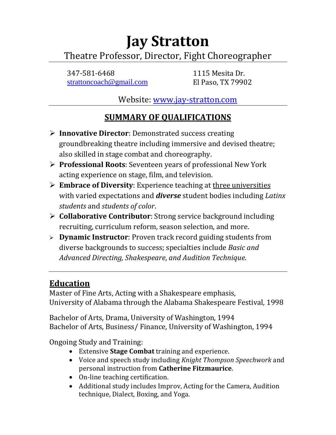# **Jay Stratton** Theatre Professor, Director, Fight Choreographer

347-581-6468 1115 Mesita Dr. [strattoncoach@gmail.com](mailto:strattoncoach@gmail.com) El Paso, TX 79902

Website: [www.jay-stratton.com](http://www.jay-stratton.com/)

# **SUMMARY OF QUALIFICATIONS**

- **Innovative Director**: Demonstrated success creating groundbreaking theatre including immersive and devised theatre; also skilled in stage combat and choreography.
- **Professional Roots**: Seventeen years of professional New York acting experience on stage, film, and television.
- **Embrace of Diversity**: Experience teaching at three universities with varied expectations and *diverse* student bodies including *Latinx students* and *students of color*.
- **Collaborative Contributor**: Strong service background including recruiting, curriculum reform, season selection, and more.
- **Dynamic Instructor**: Proven track record guiding students from diverse backgrounds to success; specialties include *Basic and Advanced Directing, Shakespeare*, *and Audition Technique*.

# **Education**

Master of Fine Arts, Acting with a Shakespeare emphasis, University of Alabama through the Alabama Shakespeare Festival, 1998

Bachelor of Arts, Drama, University of Washington, 1994 Bachelor of Arts, Business/ Finance, University of Washington, 1994

Ongoing Study and Training:

- Extensive **Stage Combat** training and experience.
- Voice and speech study including *Knight Thompson Speechwork* and personal instruction from **Catherine Fitzmaurice**.
- On-line teaching certification.
- Additional study includes Improv, Acting for the Camera, Audition technique, Dialect, Boxing, and Yoga.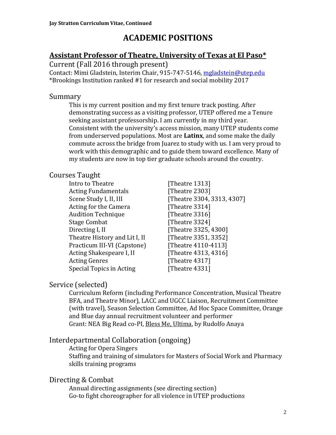# **ACADEMIC POSITIONS**

### **Assistant Professor of Theatre, University of Texas at El Paso\***

Current (Fall 2016 through present)

Contact: Mimi Gladstein, Interim Chair, 915-747-5146, [mgladstein@utep.edu](mailto:mgladstein@utep.edu) \*Brookings Institution ranked #1 for research and social mobility 2017

### Summary

This is my current position and my first tenure track posting. After demonstrating success as a visiting professor, UTEP offered me a Tenure seeking assistant professorship. I am currently in my third year. Consistent with the university's access mission, many UTEP students come from underserved populations. Most are **Latinx**, and some make the daily commute across the bridge from Juarez to study with us. I am very proud to work with this demographic and to guide them toward excellence. Many of my students are now in top tier graduate schools around the country.

### Courses Taught

Intro to Theatre **Immunity** [Theatre 1313] Acting Fundamentals [Theatre 2303] Acting for the Camera [Theatre 3314] Audition Technique [Theatre 3316] Stage Combat [Theatre 3324] Directing I, II [Theatre 3325, 4300] Theatre History and Lit I, II [Theatre 3351, 3352] Practicum III-VI (Capstone) [Theatre 4110-4113] Acting Shakespeare I, II [Theatre 4313, 4316] Acting Genres [Theatre 4317] Special Topics in Acting [Theatre 4331]

Scene Study I, II, III [Theatre 3304, 3313, 4307]

### Service (selected)

Curriculum Reform (including Performance Concentration, Musical Theatre BFA, and Theatre Minor), LACC and UGCC Liaison, Recruitment Committee (with travel), Season Selection Committee, Ad Hoc Space Committee, Orange and Blue day annual recruitment volunteer and performer Grant: NEA Big Read co-PI, Bless Me, Ultima, by Rudolfo Anaya

### Interdepartmental Collaboration (ongoing)

Acting for Opera Singers Staffing and training of simulators for Masters of Social Work and Pharmacy skills training programs

### Directing & Combat

Annual directing assignments (see directing section) Go-to fight choreographer for all violence in UTEP productions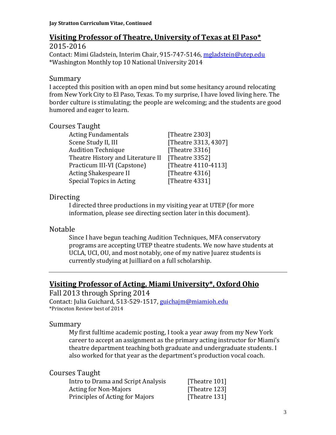### **Visiting Professor of Theatre, University of Texas at El Paso\***

2015-2016 Contact: Mimi Gladstein, Interim Chair, 915-747-5146, [mgladstein@utep.edu](mailto:mgladstein@utep.edu) \*Washington Monthly top 10 National University 2014

#### Summary

I accepted this position with an open mind but some hesitancy around relocating from New York City to El Paso, Texas. To my surprise, I have loved living here. The border culture is stimulating; the people are welcoming; and the students are good humored and eager to learn.

### Courses Taught

Acting Fundamentals [Theatre 2303] Scene Study II, III [Theatre 3313, 4307] Audition Technique [Theatre 3316] Theatre History and Literature II [Theatre 3352] Practicum III-VI (Capstone) [Theatre 4110-4113] Acting Shakespeare II [Theatre 4316] Special Topics in Acting [Theatre 4331]

### Directing

I directed three productions in my visiting year at UTEP (for more information, please see directing section later in this document).

### Notable

Since I have begun teaching Audition Techniques, MFA conservatory programs are accepting UTEP theatre students. We now have students at UCLA, UCI, OU, and most notably, one of my native Juarez students is currently studying at Juilliard on a full scholarship.

### **Visiting Professor of Acting, Miami University\*, Oxford Ohio**

#### Fall 2013 through Spring 2014

Contact: Julia Guichard, 513-529-1517, [guichajm@miamioh.edu](mailto:guichajm@miamioh.edu) \*Princeton Review best of 2014

### Summary

My first fulltime academic posting, I took a year away from my New York career to accept an assignment as the primary acting instructor for Miami's theatre department teaching both graduate and undergraduate students. I also worked for that year as the department's production vocal coach.

#### Courses Taught

| Intro to Drama and Script Analysis | [Theatre 101] |
|------------------------------------|---------------|
| <b>Acting for Non-Majors</b>       | [Theatre 123] |
| Principles of Acting for Majors    | [Theatre 131] |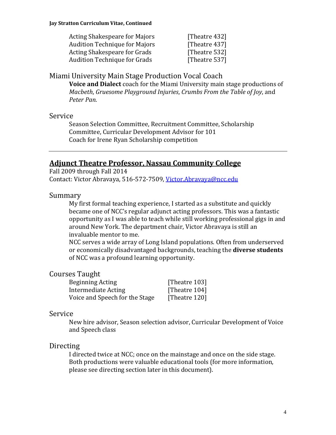| <b>Acting Shakespeare for Majors</b> | [Theatre 432] |
|--------------------------------------|---------------|
| <b>Audition Technique for Majors</b> | [Theatre 437] |
| <b>Acting Shakespeare for Grads</b>  | [Theatre 532] |
| <b>Audition Technique for Grads</b>  | [Theatre 537] |

#### Miami University Main Stage Production Vocal Coach

**Voice and Dialect** coach for the Miami University main stage productions of *Macbeth*, *Gruesome Playground Injuries*, *Crumbs From the Table of Joy*, and *Peter Pan*.

#### Service

Season Selection Committee, Recruitment Committee, Scholarship Committee, Curricular Development Advisor for 101 Coach for Irene Ryan Scholarship competition

#### **Adjunct Theatre Professor, Nassau Community College**

Fall 2009 through Fall 2014 Contact: Victor Abravaya, 516-572-7509, [Victor.Abravaya@ncc.edu](mailto:Victor.Abravaya@ncc.edu)

#### Summary

My first formal teaching experience, I started as a substitute and quickly became one of NCC's regular adjunct acting professors. This was a fantastic opportunity as I was able to teach while still working professional gigs in and around New York. The department chair, Victor Abravaya is still an invaluable mentor to me.

NCC serves a wide array of Long Island populations. Often from underserved or economically disadvantaged backgrounds, teaching the **diverse students** of NCC was a profound learning opportunity.

#### Courses Taught

| Beginning Acting               | [Theatre 103] |
|--------------------------------|---------------|
| Intermediate Acting            | [Theatre 104] |
| Voice and Speech for the Stage | [Theatre 120] |

#### Service

New hire advisor, Season selection advisor, Curricular Development of Voice and Speech class

#### **Directing**

I directed twice at NCC; once on the mainstage and once on the side stage. Both productions were valuable educational tools (for more information, please see directing section later in this document).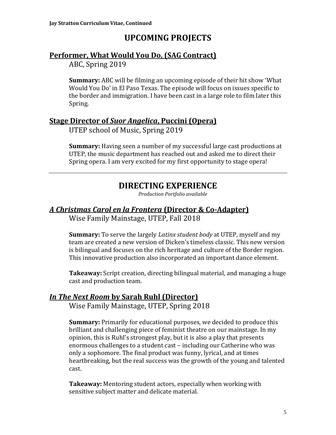# **UPCOMING PROJECTS**

### **Performer, What Would You Do, (SAG Contract)**

ABC, Spring 2019

**Summary:** ABC will be filming an upcoming episode of their hit show 'What Would You Do' in El Paso Texas. The episode will focus on issues specific to the border and immigration. I have been cast in a large role to film later this Spring.

### **Stage Director of** *Suor Angelica***, Puccini (Opera)**

UTEP school of Music, Spring 2019

**Summary:** Having seen a number of my successful large cast productions at UTEP, the music department has reached out and asked me to direct their Spring opera. I am very excited for my first opportunity to stage opera!

## **DIRECTING EXPERIENCE**

*Production Portfolio available*

# *A Christmas Carol en la Frontera* **(Director & Co-Adapter)**

Wise Family Mainstage, UTEP, Fall 2018

**Summary:** To serve the largely *Latinx student body* at UTEP, myself and my team are created a new version of Dicken's timeless classic. This new version is bilingual and focuses on the rich heritage and culture of the Border region. This innovative production also incorporated an important dance element.

**Takeaway:** Script creation, directing bilingual material, and managing a huge cast and production team.

### *In The Next Room* **by Sarah Ruhl (Director)**

Wise Family Mainstage, UTEP, Spring 2018

**Summary:** Primarily for educational purposes, we decided to produce this brilliant and challenging piece of feminist theatre on our mainstage. In my opinion, this is Ruhl's strongest play, but it is also a play that presents enormous challenges to a student cast – including our Catherine who was only a sophomore. The final product was funny, lyrical, and at times heartbreaking, but the real success was the growth of the young and talented cast.

**Takeaway:** Mentoring student actors, especially when working with sensitive subject matter and delicate material.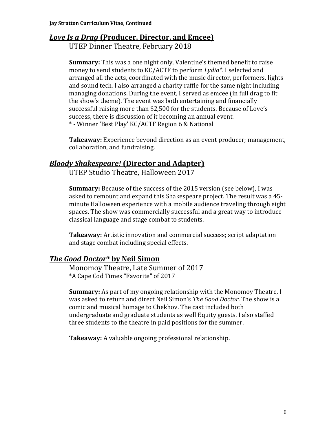### *Love Is a Drag* **(Producer, Director, and Emcee)**

UTEP Dinner Theatre, February 2018

**Summary:** This was a one night only, Valentine's themed benefit to raise money to send students to KC/ACTF to perform *Lydia\**. I selected and arranged all the acts, coordinated with the music director, performers, lights and sound tech. I also arranged a charity raffle for the same night including managing donations. During the event, I served as emcee (in full drag to fit the show's theme). The event was both entertaining and financially successful raising more than \$2,500 for the students. Because of Love's success, there is discussion of it becoming an annual event. \* - Winner 'Best Play' KC/ACTF Region 6 & National

**Takeaway:** Experience beyond direction as an event producer; management, collaboration, and fundraising.

### *Bloody Shakespeare!* **(Director and Adapter)**

UTEP Studio Theatre, Halloween 2017

**Summary:** Because of the success of the 2015 version (see below), I was asked to remount and expand this Shakespeare project. The result was a 45 minute Halloween experience with a mobile audience traveling through eight spaces. The show was commercially successful and a great way to introduce classical language and stage combat to students.

**Takeaway:** Artistic innovation and commercial success; script adaptation and stage combat including special effects.

### *The Good Doctor\** **by Neil Simon**

Monomoy Theatre, Late Summer of 2017 \*A Cape Cod Times "Favorite" of 2017

**Summary:** As part of my ongoing relationship with the Monomoy Theatre, I was asked to return and direct Neil Simon's *The Good Doctor*. The show is a comic and musical homage to Chekhov. The cast included both undergraduate and graduate students as well Equity guests. I also staffed three students to the theatre in paid positions for the summer.

**Takeaway:** A valuable ongoing professional relationship.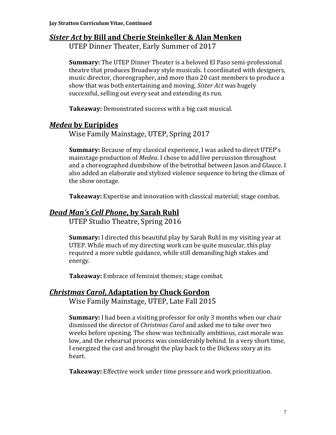### *Sister Act* **by Bill and Cherie Steinkeller & Alan Menken**

UTEP Dinner Theater, Early Summer of 2017

**Summary:** The UTEP Dinner Theater is a beloved El Paso semi-professional theatre that produces Broadway style musicals. I coordinated with designers, music director, choreographer, and more than 20 cast members to produce a show that was both entertaining and moving. *Sister Act* was hugely successful, selling out every seat and extending its run.

**Takeaway:** Demonstrated success with a big cast musical.

### *Medea* **by Euripides**

Wise Family Mainstage, UTEP, Spring 2017

**Summary:** Because of my classical experience, I was asked to direct UTEP's mainstage production of *Medea*. I chose to add live percussion throughout and a choreographed dumbshow of the betrothal between Jason and Glauce. I also added an elaborate and stylized violence sequence to bring the climax of the show onstage.

**Takeaway:** Expertise and innovation with classical material; stage combat.

### *Dead Man's Cell Phone***, by Sarah Ruhl**

UTEP Studio Theatre, Spring 2016

**Summary:** I directed this beautiful play by Sarah Ruhl in my visiting year at UTEP. While much of my directing work can be quite muscular, this play required a more subtle guidance, while still demanding high stakes and energy.

**Takeaway:** Embrace of feminist themes; stage combat.

### *Christmas Carol***, Adaptation by Chuck Gordon**

Wise Family Mainstage, UTEP, Late Fall 2015

**Summary:** I had been a visiting professor for only 3 months when our chair dismissed the director of *Christmas Carol* and asked me to take over two weeks before opening. The show was technically ambitious, cast morale was low, and the rehearsal process was considerably behind. In a very short time, I energized the cast and brought the play back to the Dickens story at its heart.

**Takeaway:** Effective work under time pressure and work prioritization.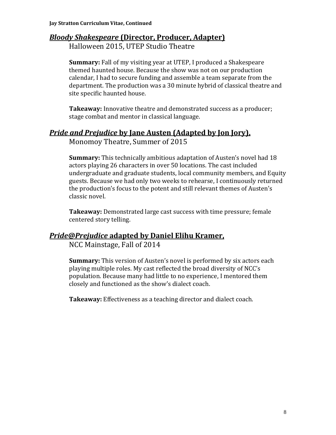### *Bloody Shakespeare* **(Director, Producer, Adapter)**

Halloween 2015, UTEP Studio Theatre

**Summary:** Fall of my visiting year at UTEP, I produced a Shakespeare themed haunted house. Because the show was not on our production calendar, I had to secure funding and assemble a team separate from the department. The production was a 30 minute hybrid of classical theatre and site specific haunted house.

**Takeaway:** Innovative theatre and demonstrated success as a producer; stage combat and mentor in classical language.

### *Pride and Prejudice* **by Jane Austen (Adapted by Jon Jory),**

Monomoy Theatre, Summer of 2015

**Summary:** This technically ambitious adaptation of Austen's novel had 18 actors playing 26 characters in over 50 locations. The cast included undergraduate and graduate students, local community members, and Equity guests. Because we had only two weeks to rehearse, I continuously returned the production's focus to the potent and still relevant themes of Austen's classic novel.

**Takeaway:** Demonstrated large cast success with time pressure; female centered story telling.

### *Pride@Prejudice* **adapted by Daniel Elihu Kramer,**

NCC Mainstage, Fall of 2014

**Summary:** This version of Austen's novel is performed by six actors each playing multiple roles. My cast reflected the broad diversity of NCC's population. Because many had little to no experience, I mentored them closely and functioned as the show's dialect coach.

**Takeaway:** Effectiveness as a teaching director and dialect coach.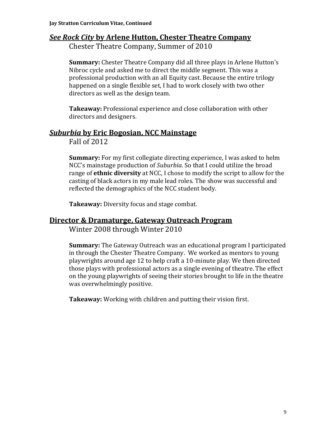### *See Rock City* **by Arlene Hutton, Chester Theatre Company**

Chester Theatre Company, Summer of 2010

**Summary:** Chester Theatre Company did all three plays in Arlene Hutton's Nibroc cycle and asked me to direct the middle segment. This was a professional production with an all Equity cast. Because the entire trilogy happened on a single flexible set, I had to work closely with two other directors as well as the design team.

**Takeaway:** Professional experience and close collaboration with other directors and designers.

### *Suburbia* **by Eric Bogosian, NCC Mainstage**

Fall of 2012

**Summary:** For my first collegiate directing experience, I was asked to helm NCC's mainstage production of *Suburbia*. So that I could utilize the broad range of **ethnic diversity** at NCC, I chose to modify the script to allow for the casting of black actors in my male lead roles. The show was successful and reflected the demographics of the NCC student body.

**Takeaway:** Diversity focus and stage combat.

#### **Director & Dramaturge, Gateway Outreach Program**

Winter 2008 through Winter 2010

**Summary:** The Gateway Outreach was an educational program I participated in through the Chester Theatre Company. We worked as mentors to young playwrights around age 12 to help craft a 10-minute play. We then directed those plays with professional actors as a single evening of theatre. The effect on the young playwrights of seeing their stories brought to life in the theatre was overwhelmingly positive.

**Takeaway:** Working with children and putting their vision first.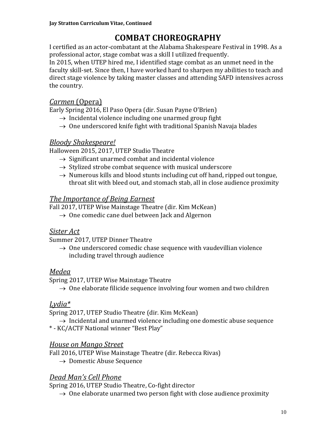# **COMBAT CHOREOGRAPHY**

I certified as an actor-combatant at the Alabama Shakespeare Festival in 1998. As a professional actor, stage combat was a skill I utilized frequently.

In 2015, when UTEP hired me, I identified stage combat as an unmet need in the faculty skill-set. Since then, I have worked hard to sharpen my abilities to teach and direct stage violence by taking master classes and attending SAFD intensives across the country.

### *Carmen* (Opera)

Early Spring 2016, El Paso Opera (dir. Susan Payne O'Brien)

- $\rightarrow$  Incidental violence including one unarmed group fight
- $\rightarrow$  One underscored knife fight with traditional Spanish Navaja blades

### *Bloody Shakespeare!*

Halloween 2015, 2017, UTEP Studio Theatre

- $\rightarrow$  Significant unarmed combat and incidental violence
- $\rightarrow$  Stylized strobe combat sequence with musical underscore
- $\rightarrow$  Numerous kills and blood stunts including cut off hand, ripped out tongue, throat slit with bleed out, and stomach stab, all in close audience proximity

### *The Importance of Being Earnest*

Fall 2017, UTEP Wise Mainstage Theatre (dir. Kim McKean)

 $\rightarrow$  One comedic cane duel between Jack and Algernon

### *Sister Act*

Summer 2017, UTEP Dinner Theatre

 $\rightarrow$  One underscored comedic chase sequence with vaudevillian violence including travel through audience

### *Medea*

Spring 2017, UTEP Wise Mainstage Theatre

 $\rightarrow$  One elaborate filicide sequence involving four women and two children

### *Lydia\**

Spring 2017, UTEP Studio Theatre (dir. Kim McKean)

- $\rightarrow$  Incidental and unarmed violence including one domestic abuse sequence
- \* KC/ACTF National winner "Best Play"

### *House on Mango Street*

Fall 2016, UTEP Wise Mainstage Theatre (dir. Rebecca Rivas)

 $\rightarrow$  Domestic Abuse Sequence

### *Dead Man's Cell Phone*

Spring 2016, UTEP Studio Theatre, Co-fight director

 $\rightarrow$  One elaborate unarmed two person fight with close audience proximity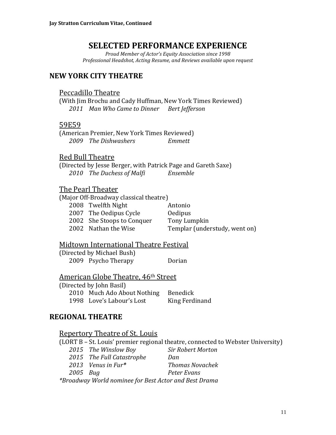### **SELECTED PERFORMANCE EXPERIENCE**

*Proud Member of Actor's Equity Association since 1998 Professional Headshot, Acting Resume, and Reviews available upon request*

#### **NEW YORK CITY THEATRE**

#### Peccadillo Theatre

(With Jim Brochu and Cady Huffman, New York Times Reviewed) *2011 Man Who Came to Dinner Bert Jefferson*

#### 59E59

(American Premier, New York Times Reviewed) *2009 The Dishwashers Emmett*

#### Red Bull Theatre

(Directed by Jesse Berger, with Patrick Page and Gareth Saxe) *2010 The Duchess of Malfi Ensemble*

#### The Pearl Theater

(Major Off-Broadway classical theatre)

| 2008 Twelfth Night         | Antonio                       |
|----------------------------|-------------------------------|
| 2007 The Oedipus Cycle     | <b>Oedipus</b>                |
| 2002 She Stoops to Conquer | Tony Lumpkin                  |
| 2002 Nathan the Wise       | Templar (understudy, went on) |

#### Midtown International Theatre Festival

(Directed by Michael Bush) 2009 Psycho Therapy Dorian

#### American Globe Theatre, 46<sup>th</sup> Street

(Directed by John Basil) 2010 Much Ado About Nothing Benedick 1998 Love's Labour's Lost King Ferdinand

### **REGIONAL THEATRE**

#### Repertory Theatre of St. Louis

(LORT B – St. Louis' premier regional theatre, connected to Webster University)

*2015 The Winslow Boy Sir Robert Morton 2015 The Full Catastrophe Dan*

*2013 Venus in Fur\* Thomas Novachek*

*2005 Bug Peter Evans*

*\*Broadway World nominee for Best Actor and Best Drama*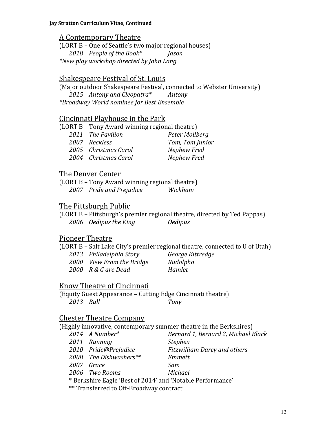### A Contemporary Theatre

(LORT B – One of Seattle's two major regional houses) *2018 People of the Book\* Jason \*New play workshop directed by John Lang*

### Shakespeare Festival of St. Louis

(Major outdoor Shakespeare Festival, connected to Webster University) *2015 Antony and Cleopatra\* Antony \*Broadway World nominee for Best Ensemble*

### Cincinnati Playhouse in the Park

| (LORT B - Tony Award winning regional theatre) |                 |
|------------------------------------------------|-----------------|
| 2011 The Pavilion                              | Peter Mollberg  |
| 2007 Reckless                                  | Tom, Tom Junior |
| 2005 Christmas Carol                           | Nephew Fred     |
| 2004 Christmas Carol                           | Nephew Fred     |

### The Denver Center

(LORT B – Tony Award winning regional theatre) *2007 Pride and Prejudice Wickham*

### The Pittsburgh Public

(LORT B – Pittsburgh's premier regional theatre, directed by Ted Pappas) *2006 Oedipus the King Oedipus*

### Pioneer Theatre

(LORT B – Salt Lake City's premier regional theatre, connected to U of Utah)

| 2013 Philadelphia Story   |
|---------------------------|
| 2000 View From the Bridge |
| 2000 R & G are Dead       |

*2013 Philadelphia Story George Kittredge 2000 View From the Bridge Rudolpho 2000 R & G are Dead Hamlet*

### Know Theatre of Cincinnati

(Equity Guest Appearance – Cutting Edge Cincinnati theatre) *2013 Bull Tony*

### Chester Theatre Company

(Highly innovative, contemporary summer theatre in the Berkshires)

| 2014 A Number*                                             | Bernard 1, Bernard 2, Michael Black |
|------------------------------------------------------------|-------------------------------------|
| 2011 Running                                               | <i><b>Stephen</b></i>               |
| 2010 Pride@Prejudice                                       | <b>Fitzwilliam Darcy and others</b> |
| 2008 The Dishwashers**                                     | Emmett                              |
| 2007 Grace                                                 | Sam                                 |
| 2006 Two Rooms                                             | Michael                             |
| * Berkshire Eagle 'Best of 2014' and 'Notable Performance' |                                     |
|                                                            |                                     |

\*\* Transferred to Off-Broadway contract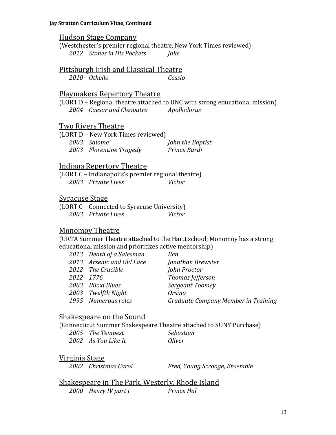#### Hudson Stage Company

(Westchester's premier regional theatre, New York Times reviewed) *2012 Stones in His Pockets Jake*

#### Pittsburgh Irish and Classical Theatre

*2010 Othello Cassio*

#### Playmakers Repertory Theatre

(LORT D – Regional theatre attached to UNC with strong educational mission) *2004 Caesar and Cleopatra Apollodorus*

#### Two Rivers Theatre

| (LORT D - New York Times reviewed) |                  |
|------------------------------------|------------------|
| 2003 Salome'                       | John the Baptist |
| 2003 Florentine Tragedy            | Prince Bardi     |

#### Indiana Repertory Theatre

(LORT C – Indianapolis's premier regional theatre) *2003 Private Lives Victor*

#### Syracuse Stage

(LORT C – Connected to Syracuse University) *2003 Private Lives Victor*

#### Monomoy Theatre

(URTA Summer Theatre attached to the Hartt school; Monomoy has a strong educational mission and prioritizes active mentorship)

| 2013 Death of a Salesman  | Ben                                 |
|---------------------------|-------------------------------------|
| 2013 Arsenic and Old Lace | Jonathan Brewster                   |
| 2012 The Crucible         | John Proctor                        |
| 2012 1776                 | Thomas Jefferson                    |
| 2003 - Biloxi Blues       | Sergeant Toomey                     |
| 2003 Twelfth Night        | <i>Orsino</i>                       |
| 1995 Numerous roles       | Graduate Company Member in Training |
|                           |                                     |

#### Shakespeare on the Sound

(Connecticut Summer Shakespeare Theatre attached to SUNY Purchase)

| 2005 The Tempest    | Sebastian |
|---------------------|-----------|
| 2002 As You Like It | Oliver    |

#### Virginia Stage

*2002 Christmas Carol Fred, Young Scrooge, Ensemble*

Shakespeare in The Park, Westerly, Rhode Island *2000 Henry IV part i Prince Hal*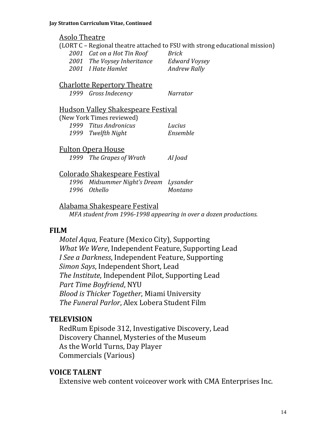#### Asolo Theatre

(LORT C – Regional theatre attached to FSU with strong educational mission) *Cat on a Hot Tin Roof Brick The Voysey Inheritance Edward Voysey I Hate Hamlet Andrew Rally*

#### Charlotte Repertory Theatre

*1999 Gross Indecency Narrator*

#### Hudson Valley Shakespeare Festival

| (New York Times reviewed) |          |
|---------------------------|----------|
| 1999 Titus Andronicus     | Lucius   |
| 1999 Twelfth Night        | Ensemble |

#### Fulton Opera House

*1999 The Grapes of Wrath Al Joad*

### Colorado Shakespeare Festival

*1996 Midsummer Night's Dream Lysander 1996 Othello Montano*

### Alabama Shakespeare Festival

*MFA student from 1996-1998 appearing in over a dozen productions.*

### **FILM**

*Motel Aqua*, Feature (Mexico City), Supporting *What We Were*, Independent Feature, Supporting Lead *I See a Darkness*, Independent Feature, Supporting *Simon Says*, Independent Short, Lead *The Institute*, Independent Pilot, Supporting Lead *Part Time Boyfriend*, NYU *Blood is Thicker Together*, Miami University *The Funeral Parlor*, Alex Lobera Student Film

### **TELEVISION**

RedRum Episode 312, Investigative Discovery, Lead Discovery Channel, Mysteries of the Museum As the World Turns, Day Player Commercials (Various)

### **VOICE TALENT**

Extensive web content voiceover work with CMA Enterprises Inc.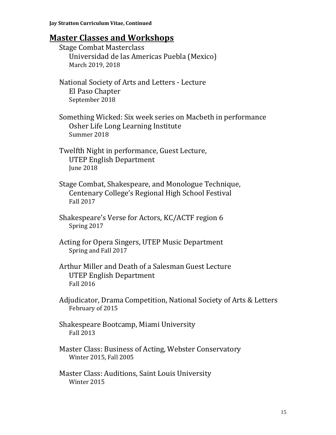# **Master Classes and Workshops**

| <b>Stage Combat Masterclass</b><br>Universidad de las Americas Puebla (Mexico)<br>March 2019, 2018                           |
|------------------------------------------------------------------------------------------------------------------------------|
| National Society of Arts and Letters - Lecture<br>El Paso Chapter<br>September 2018                                          |
| Something Wicked: Six week series on Macbeth in performance<br>Osher Life Long Learning Institute<br>Summer 2018             |
| Twelfth Night in performance, Guest Lecture,<br><b>UTEP English Department</b><br><b>June 2018</b>                           |
| Stage Combat, Shakespeare, and Monologue Technique,<br>Centenary College's Regional High School Festival<br><b>Fall 2017</b> |
| Shakespeare's Verse for Actors, KC/ACTF region 6<br>Spring 2017                                                              |
| Acting for Opera Singers, UTEP Music Department<br>Spring and Fall 2017                                                      |
| Arthur Miller and Death of a Salesman Guest Lecture<br><b>UTEP English Department</b><br><b>Fall 2016</b>                    |
| Adjudicator, Drama Competition, National Society of Arts & Letters<br>February of 2015                                       |
| Shakespeare Bootcamp, Miami University<br><b>Fall 2013</b>                                                                   |
| Master Class: Business of Acting, Webster Conservatory<br>Winter 2015, Fall 2005                                             |
| Master Class: Auditions, Saint Louis University                                                                              |

Winter 2015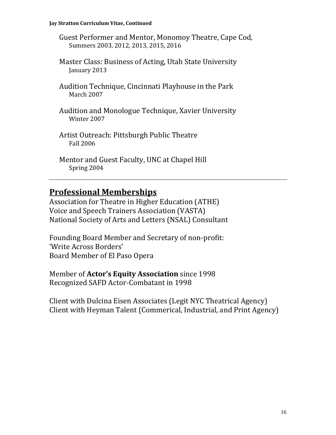#### **Jay Stratton Curriculum Vitae, Continued**

Guest Performer and Mentor, Monomoy Theatre, Cape Cod, Summers 2003, 2012, 2013, 2015, 2016

- Master Class: Business of Acting, Utah State University January 2013
- Audition Technique, Cincinnati Playhouse in the Park March 2007
- Audition and Monologue Technique, Xavier University Winter 2007
- Artist Outreach: Pittsburgh Public Theatre Fall 2006
- Mentor and Guest Faculty, UNC at Chapel Hill Spring 2004

## **Professional Memberships**

Association for Theatre in Higher Education (ATHE) Voice and Speech Trainers Association (VASTA) National Society of Arts and Letters (NSAL) Consultant

Founding Board Member and Secretary of non-profit: 'Write Across Borders' Board Member of El Paso Opera

Member of **Actor's Equity Association** since 1998 Recognized SAFD Actor-Combatant in 1998

Client with Dulcina Eisen Associates (Legit NYC Theatrical Agency) Client with Heyman Talent (Commerical, Industrial, and Print Agency)